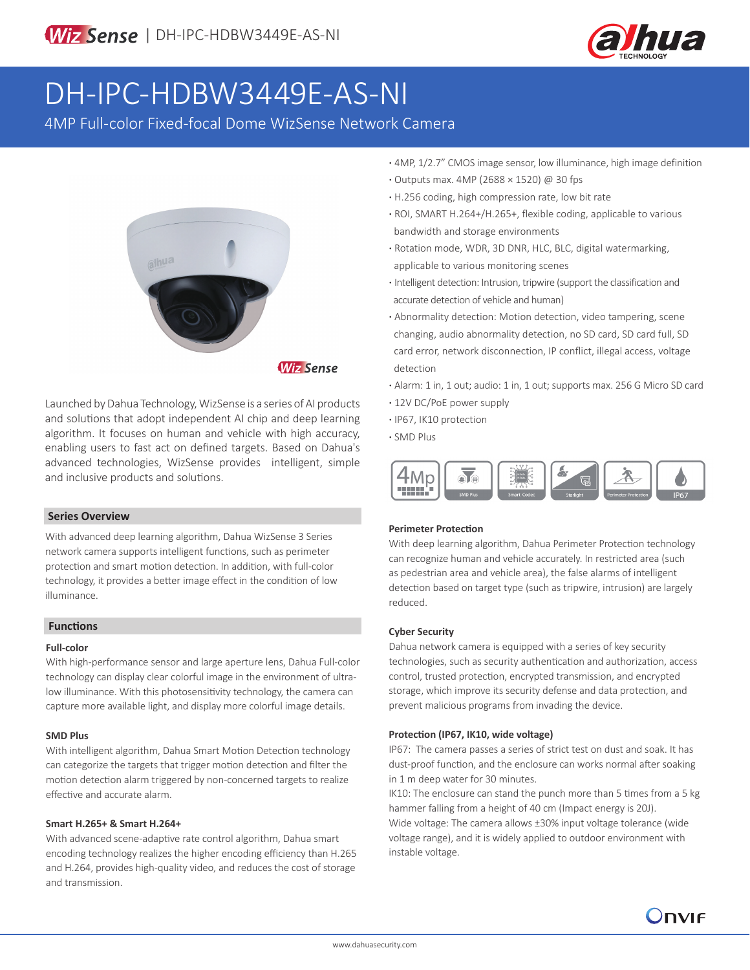

# DH-IPC-HDBW3449E-AS-NI

4MP Full-color Fixed-focal Dome WizSense Network Camera



Launched by Dahua Technology, WizSense is a series of AI products and solutions that adopt independent AI chip and deep learning algorithm. It focuses on human and vehicle with high accuracy, enabling users to fast act on defined targets. Based on Dahua's advanced technologies, WizSense provides intelligent, simple

### **Series Overview**

and inclusive products and solutions.

With advanced deep learning algorithm, Dahua WizSense 3 Series network camera supports intelligent functions, such as perimeter protection and smart motion detection. In addition, with full-color technology, it provides a better image effect in the condition of low illuminance.

#### **Functions**

#### **Full-color**

With high-performance sensor and large aperture lens, Dahua Full-color technology can display clear colorful image in the environment of ultralow illuminance. With this photosensitivity technology, the camera can capture more available light, and display more colorful image details.

#### **SMD Plus**

With intelligent algorithm, Dahua Smart Motion Detection technology can categorize the targets that trigger motion detection and filter the motion detection alarm triggered by non-concerned targets to realize effective and accurate alarm.

#### **Smart H.265+ & Smart H.264+**

With advanced scene-adaptive rate control algorithm, Dahua smart encoding technology realizes the higher encoding efficiency than H.265 and H.264, provides high-quality video, and reduces the cost of storage and transmission.

- **·** 4MP, 1/2.7" CMOS image sensor, low illuminance, high image definition
- **·** Outputs max. 4MP (2688 × 1520) @ 30 fps
- **·** H.256 coding, high compression rate, low bit rate
- **·** ROI, SMART H.264+/H.265+, flexible coding, applicable to various bandwidth and storage environments
- **·** Rotation mode, WDR, 3D DNR, HLC, BLC, digital watermarking, applicable to various monitoring scenes
- **·** Intelligent detection: Intrusion, tripwire (support the classification and accurate detection of vehicle and human)
- **·** Abnormality detection: Motion detection, video tampering, scene changing, audio abnormality detection, no SD card, SD card full, SD card error, network disconnection, IP conflict, illegal access, voltage detection
- **·** Alarm: 1 in, 1 out; audio: 1 in, 1 out; supports max. 256 G Micro SD card
- **·** 12V DC/PoE power supply
- **·** IP67, IK10 protection
- **·** SMD Plus



#### **Perimeter Protection**

With deep learning algorithm, Dahua Perimeter Protection technology can recognize human and vehicle accurately. In restricted area (such as pedestrian area and vehicle area), the false alarms of intelligent detection based on target type (such as tripwire, intrusion) are largely reduced.

#### **Cyber Security**

Dahua network camera is equipped with a series of key security technologies, such as security authentication and authorization, access control, trusted protection, encrypted transmission, and encrypted storage, which improve its security defense and data protection, and prevent malicious programs from invading the device.

### **Protection (IP67, IK10, wide voltage)**

IP67: The camera passes a series of strict test on dust and soak. It has dust-proof function, and the enclosure can works normal after soaking in 1 m deep water for 30 minutes.

IK10: The enclosure can stand the punch more than 5 times from a 5 kg hammer falling from a height of 40 cm (Impact energy is 20J). Wide voltage: The camera allows ±30% input voltage tolerance (wide voltage range), and it is widely applied to outdoor environment with instable voltage.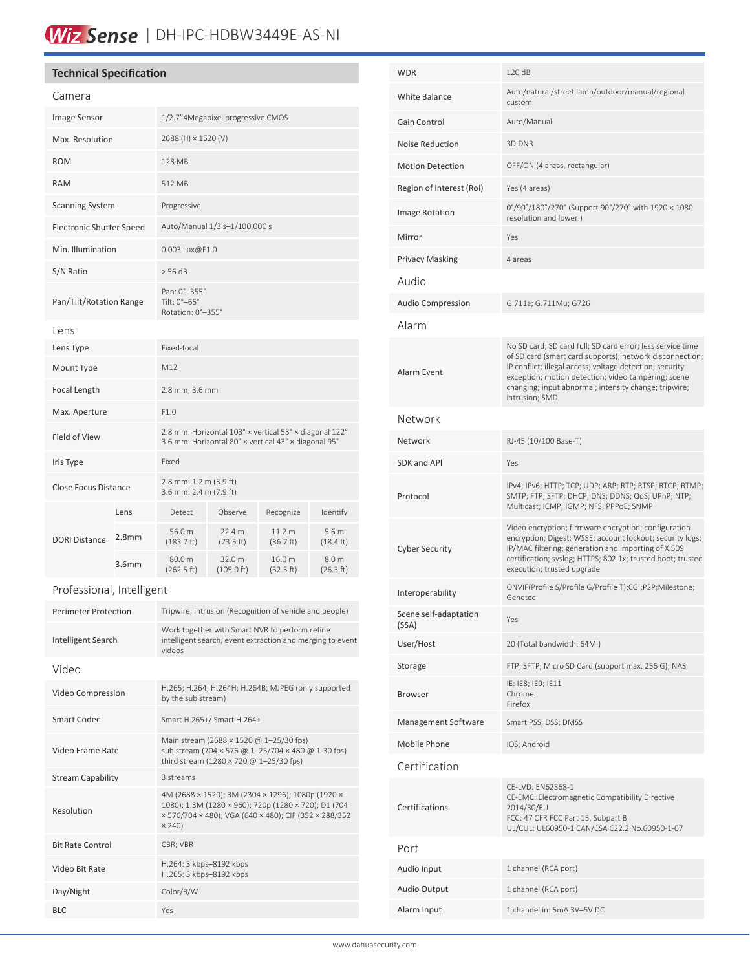# Wiz Sense | DH-IPC-HDBW3449E-AS-NI

# **Technical Specification**

| Camera                      |                   |                                                                                                                                                                              |                                |                     |                                         |
|-----------------------------|-------------------|------------------------------------------------------------------------------------------------------------------------------------------------------------------------------|--------------------------------|---------------------|-----------------------------------------|
| Image Sensor                |                   | 1/2.7"4Megapixel progressive CMOS                                                                                                                                            |                                |                     |                                         |
| Max. Resolution             |                   | 2688 (H) × 1520 (V)                                                                                                                                                          |                                |                     |                                         |
| <b>ROM</b>                  |                   | 128 MB                                                                                                                                                                       |                                |                     |                                         |
| <b>RAM</b>                  |                   | 512 MB                                                                                                                                                                       |                                |                     |                                         |
| <b>Scanning System</b>      |                   | Progressive                                                                                                                                                                  |                                |                     |                                         |
| Electronic Shutter Speed    |                   | Auto/Manual 1/3 s-1/100,000 s                                                                                                                                                |                                |                     |                                         |
| Min. Illumination           |                   | 0.003 Lux@F1.0                                                                                                                                                               |                                |                     |                                         |
| S/N Ratio                   |                   | > 56 dB                                                                                                                                                                      |                                |                     |                                         |
| Pan/Tilt/Rotation Range     |                   | Pan: 0°-355°<br>Tilt: 0°-65°<br>Rotation: 0°-355°                                                                                                                            |                                |                     |                                         |
| Lens                        |                   |                                                                                                                                                                              |                                |                     |                                         |
| Lens Type                   |                   | Fixed-focal                                                                                                                                                                  |                                |                     |                                         |
| Mount Type                  |                   | M12                                                                                                                                                                          |                                |                     |                                         |
| Focal Length                |                   | 2.8 mm; 3.6 mm                                                                                                                                                               |                                |                     |                                         |
| Max. Aperture               |                   | F1.0                                                                                                                                                                         |                                |                     |                                         |
| Field of View               |                   | 2.8 mm: Horizontal 103° × vertical 53° × diagonal 122°<br>3.6 mm: Horizontal 80° x vertical 43° x diagonal 95°                                                               |                                |                     |                                         |
| Iris Type                   |                   | Fixed                                                                                                                                                                        |                                |                     |                                         |
| <b>Close Focus Distance</b> |                   | 2.8 mm: 1.2 m (3.9 ft)<br>3.6 mm: 2.4 m (7.9 ft)                                                                                                                             |                                |                     |                                         |
|                             | Lens              | Detect                                                                                                                                                                       | Observe                        | Recognize           | Identify                                |
| <b>DORI Distance</b>        | 2.8 <sub>mm</sub> | 56.0 m<br>(183.7 ft)                                                                                                                                                         | 22.4 m<br>(73.5 ft)            | 11.2 m<br>(36.7 ft) | 5.6 <sub>m</sub><br>$(18.4 \text{ ft})$ |
|                             | 3.6 <sub>mm</sub> | 80.0 m<br>(262.5 ft)                                                                                                                                                         | 32.0 m<br>$(105.0 \text{ ft})$ | 16.0 m<br>(52.5 ft) | 8.0 m<br>(26.3 ft)                      |
| Professional, Intelligent   |                   |                                                                                                                                                                              |                                |                     |                                         |
| <b>Perimeter Protection</b> |                   | Tripwire, intrusion (Recognition of vehicle and people)                                                                                                                      |                                |                     |                                         |
| Intelligent Search          |                   | Work together with Smart NVR to perform refine<br>intelligent search, event extraction and merging to event<br>videos                                                        |                                |                     |                                         |
| Video                       |                   |                                                                                                                                                                              |                                |                     |                                         |
| Video Compression           |                   | H.265; H.264; H.264H; H.264B; MJPEG (only supported<br>by the sub stream)                                                                                                    |                                |                     |                                         |
| <b>Smart Codec</b>          |                   | Smart H.265+/ Smart H.264+                                                                                                                                                   |                                |                     |                                         |
| Video Frame Rate            |                   | Main stream (2688 × 1520 @ 1-25/30 fps)<br>sub stream (704 × 576 @ 1-25/704 × 480 @ 1-30 fps)<br>third stream (1280 × 720 @ 1-25/30 fps)                                     |                                |                     |                                         |
| <b>Stream Capability</b>    |                   | 3 streams                                                                                                                                                                    |                                |                     |                                         |
| Resolution                  |                   | 4M (2688 × 1520); 3M (2304 × 1296); 1080p (1920 ×<br>1080); 1.3M (1280 × 960); 720p (1280 × 720); D1 (704<br>× 576/704 × 480); VGA (640 × 480); CIF (352 × 288/352<br>× 240) |                                |                     |                                         |
| <b>Bit Rate Control</b>     |                   | CBR; VBR                                                                                                                                                                     |                                |                     |                                         |
| Video Bit Rate              |                   | H.264: 3 kbps-8192 kbps<br>H.265: 3 kbps-8192 kbps                                                                                                                           |                                |                     |                                         |

Day/Night Color/B/W BLC Yes

| WDR                            | 120 dB                                                                                                                                                                                                                                                                                                               |  |
|--------------------------------|----------------------------------------------------------------------------------------------------------------------------------------------------------------------------------------------------------------------------------------------------------------------------------------------------------------------|--|
| <b>White Balance</b>           | Auto/natural/street lamp/outdoor/manual/regional<br>custom                                                                                                                                                                                                                                                           |  |
| Gain Control                   | Auto/Manual                                                                                                                                                                                                                                                                                                          |  |
| <b>Noise Reduction</b>         | 3D DNR                                                                                                                                                                                                                                                                                                               |  |
| <b>Motion Detection</b>        | OFF/ON (4 areas, rectangular)                                                                                                                                                                                                                                                                                        |  |
| Region of Interest (RoI)       | Yes (4 areas)                                                                                                                                                                                                                                                                                                        |  |
| <b>Image Rotation</b>          | 0°/90°/180°/270° (Support 90°/270° with 1920 × 1080<br>resolution and lower.)                                                                                                                                                                                                                                        |  |
| Mirror                         | Yes                                                                                                                                                                                                                                                                                                                  |  |
| Privacy Masking                | 4 areas                                                                                                                                                                                                                                                                                                              |  |
| Audio                          |                                                                                                                                                                                                                                                                                                                      |  |
| <b>Audio Compression</b>       | G.711a; G.711Mu; G726                                                                                                                                                                                                                                                                                                |  |
| Alarm                          |                                                                                                                                                                                                                                                                                                                      |  |
| Alarm Event                    | No SD card; SD card full; SD card error; less service time<br>of SD card (smart card supports); network disconnection;<br>IP conflict; illegal access; voltage detection; security<br>exception; motion detection; video tampering; scene<br>changing; input abnormal; intensity change; tripwire;<br>intrusion; SMD |  |
| Network                        |                                                                                                                                                                                                                                                                                                                      |  |
| Network                        | RJ-45 (10/100 Base-T)                                                                                                                                                                                                                                                                                                |  |
| SDK and API                    | Yes                                                                                                                                                                                                                                                                                                                  |  |
| Protocol                       | IPv4; IPv6; HTTP; TCP; UDP; ARP; RTP; RTSP; RTCP; RTMP;<br>SMTP; FTP; SFTP; DHCP; DNS; DDNS; QoS; UPnP; NTP;<br>Multicast; ICMP; IGMP; NFS; PPPoE; SNMP                                                                                                                                                              |  |
| <b>Cyber Security</b>          | Video encryption; firmware encryption; configuration<br>encryption; Digest; WSSE; account lockout; security logs;<br>IP/MAC filtering; generation and importing of X.509<br>certification; syslog; HTTPS; 802.1x; trusted boot; trusted<br>execution; trusted upgrade                                                |  |
| Interoperability               | ONVIF(Profile S/Profile G/Profile T);CGI;P2P;Milestone;<br>Genetec                                                                                                                                                                                                                                                   |  |
| Scene self-adaptation<br>(SSA) | Yes                                                                                                                                                                                                                                                                                                                  |  |
| User/Host                      | 20 (Total bandwidth: 64M.)                                                                                                                                                                                                                                                                                           |  |
| Storage                        | FTP; SFTP; Micro SD Card (support max. 256 G); NAS                                                                                                                                                                                                                                                                   |  |
| <b>Browser</b>                 | IE: IE8; IE9; IE11<br>Chrome<br>Firefox                                                                                                                                                                                                                                                                              |  |
| Management Software            | Smart PSS; DSS; DMSS                                                                                                                                                                                                                                                                                                 |  |
| Mobile Phone                   | IOS; Android                                                                                                                                                                                                                                                                                                         |  |
| Certification                  |                                                                                                                                                                                                                                                                                                                      |  |
| Certifications                 | CE-LVD: EN62368-1<br>CE-EMC: Electromagnetic Compatibility Directive<br>2014/30/EU<br>FCC: 47 CFR FCC Part 15, Subpart B<br>UL/CUL: UL60950-1 CAN/CSA C22.2 No.60950-1-07                                                                                                                                            |  |
| Port                           |                                                                                                                                                                                                                                                                                                                      |  |
| Audio Input                    | 1 channel (RCA port)                                                                                                                                                                                                                                                                                                 |  |
| Audio Output                   | 1 channel (RCA port)                                                                                                                                                                                                                                                                                                 |  |
| Alarm Input                    | 1 channel in: 5mA 3V-5V DC                                                                                                                                                                                                                                                                                           |  |